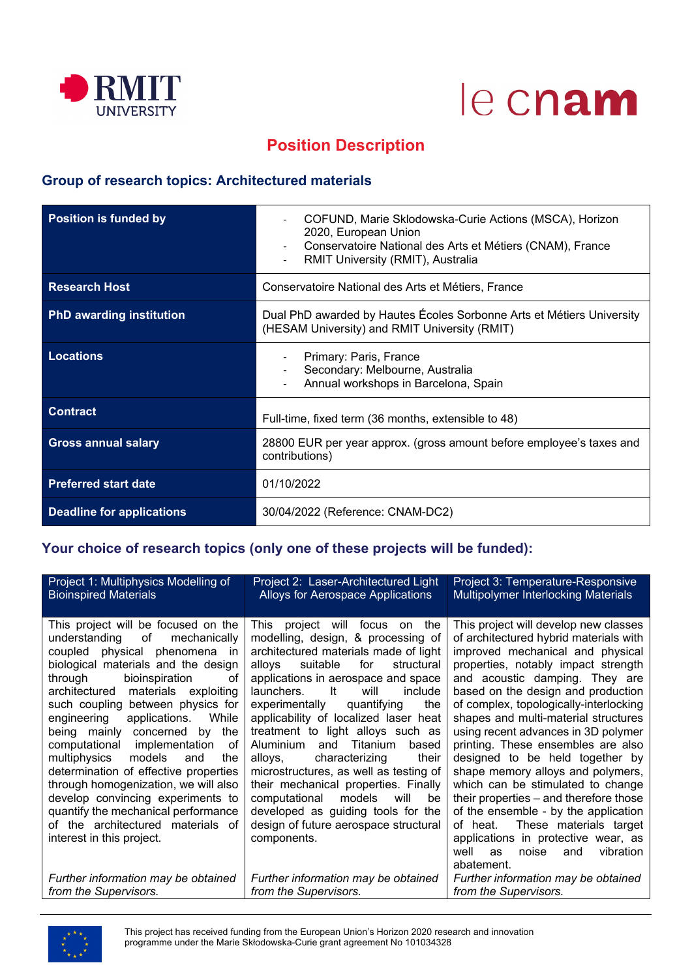



# **Position Description**

## **Group of research topics: Architectured materials**

| <b>Position is funded by</b>     | COFUND, Marie Sklodowska-Curie Actions (MSCA), Horizon<br>2020, European Union<br>Conservatoire National des Arts et Métiers (CNAM), France<br>RMIT University (RMIT), Australia |  |
|----------------------------------|----------------------------------------------------------------------------------------------------------------------------------------------------------------------------------|--|
| <b>Research Host</b>             | Conservatoire National des Arts et Métiers, France                                                                                                                               |  |
| <b>PhD awarding institution</b>  | Dual PhD awarded by Hautes Écoles Sorbonne Arts et Métiers University<br>(HESAM University) and RMIT University (RMIT)                                                           |  |
| <b>Locations</b>                 | Primary: Paris, France<br>Secondary: Melbourne, Australia<br>Annual workshops in Barcelona, Spain                                                                                |  |
| <b>Contract</b>                  | Full-time, fixed term (36 months, extensible to 48)                                                                                                                              |  |
| <b>Gross annual salary</b>       | 28800 EUR per year approx. (gross amount before employee's taxes and<br>contributions)                                                                                           |  |
| <b>Preferred start date</b>      | 01/10/2022                                                                                                                                                                       |  |
| <b>Deadline for applications</b> | 30/04/2022 (Reference: CNAM-DC2)                                                                                                                                                 |  |

## **Your choice of research topics (only one of these projects will be funded):**

| Project 1: Multiphysics Modelling of<br><b>Bioinspired Materials</b>                                                                                                                                                                                                                                                                                                                                                                                                                                                                                                                                                                                                       | Project 2: Laser-Architectured Light<br>Alloys for Aerospace Applications                                                                                                                                                                                                                                                                                                                                                                                                                                                                                                                                                                                                      | Project 3: Temperature-Responsive<br>Multipolymer Interlocking Materials                                                                                                                                                                                                                                                                                                                                                                                                                                                                                                                                                                                                                                                                      |
|----------------------------------------------------------------------------------------------------------------------------------------------------------------------------------------------------------------------------------------------------------------------------------------------------------------------------------------------------------------------------------------------------------------------------------------------------------------------------------------------------------------------------------------------------------------------------------------------------------------------------------------------------------------------------|--------------------------------------------------------------------------------------------------------------------------------------------------------------------------------------------------------------------------------------------------------------------------------------------------------------------------------------------------------------------------------------------------------------------------------------------------------------------------------------------------------------------------------------------------------------------------------------------------------------------------------------------------------------------------------|-----------------------------------------------------------------------------------------------------------------------------------------------------------------------------------------------------------------------------------------------------------------------------------------------------------------------------------------------------------------------------------------------------------------------------------------------------------------------------------------------------------------------------------------------------------------------------------------------------------------------------------------------------------------------------------------------------------------------------------------------|
| This project will be focused on the<br>understanding<br>οf<br>mechanically<br>coupled physical<br>phenomena<br>-in<br>biological materials and the design<br>bioinspiration<br>through<br>оf<br>architectured<br>materials exploiting<br>such coupling between physics for<br>engineering<br>applications.<br>While<br>the<br>being mainly concerned<br>by<br>computational<br>implementation<br>оf<br>multiphysics<br>models<br>and<br>the<br>determination of effective properties<br>through homogenization, we will also<br>develop convincing experiments to<br>quantify the mechanical performance<br>of the architectured materials of<br>interest in this project. | This<br>project will focus<br>the<br>on<br>modelling, design, & processing of<br>architectured materials made of light<br>for<br>suitable<br>structural<br>alloys<br>applications in aerospace and space<br>-lt<br>will<br>launchers.<br>include<br>experimentally<br>the<br>quantifying<br>applicability of localized laser heat<br>treatment to light alloys such as<br>Aluminium<br>Titanium<br>and<br>based<br>characterizing<br>their<br>alloys,<br>microstructures, as well as testing of<br>their mechanical properties. Finally<br>models<br>will<br>computational<br>be<br>developed as guiding tools for the<br>design of future aerospace structural<br>components. | This project will develop new classes<br>of architectured hybrid materials with<br>improved mechanical and physical<br>properties, notably impact strength<br>and acoustic damping. They are<br>based on the design and production<br>of complex, topologically-interlocking<br>shapes and multi-material structures<br>using recent advances in 3D polymer<br>printing. These ensembles are also<br>designed to be held together by<br>shape memory alloys and polymers,<br>which can be stimulated to change<br>their properties – and therefore those<br>of the ensemble - by the application<br>These materials target<br>of heat.<br>applications in protective wear, as<br>vibration<br>well<br>noise<br><b>as</b><br>and<br>abatement. |
| Further information may be obtained                                                                                                                                                                                                                                                                                                                                                                                                                                                                                                                                                                                                                                        | Further information may be obtained                                                                                                                                                                                                                                                                                                                                                                                                                                                                                                                                                                                                                                            | Further information may be obtained                                                                                                                                                                                                                                                                                                                                                                                                                                                                                                                                                                                                                                                                                                           |
| from the Supervisors.                                                                                                                                                                                                                                                                                                                                                                                                                                                                                                                                                                                                                                                      | from the Supervisors.                                                                                                                                                                                                                                                                                                                                                                                                                                                                                                                                                                                                                                                          | from the Supervisors.                                                                                                                                                                                                                                                                                                                                                                                                                                                                                                                                                                                                                                                                                                                         |

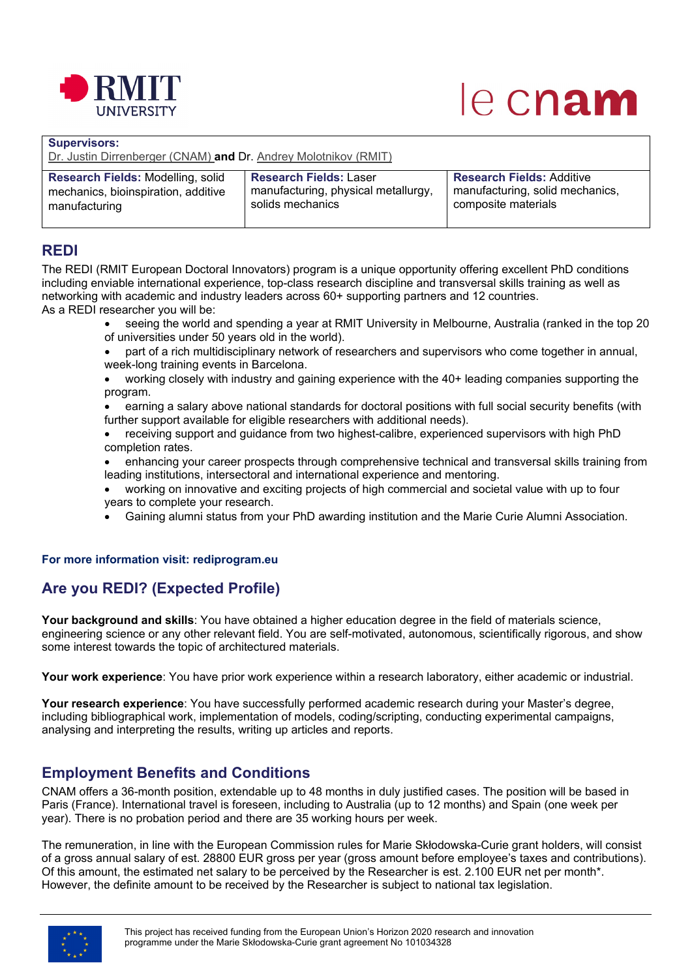

# le cnam

| <b>Supervisors:</b><br>Dr. Justin Dirrenberger (CNAM) and Dr. Andrey Molotnikov (RMIT) |                                     |                                  |  |  |
|----------------------------------------------------------------------------------------|-------------------------------------|----------------------------------|--|--|
| Research Fields: Modelling, solid                                                      | <b>Research Fields: Laser</b>       | <b>Research Fields: Additive</b> |  |  |
| mechanics, bioinspiration, additive                                                    | manufacturing, physical metallurgy, | manufacturing, solid mechanics,  |  |  |
| manufacturing                                                                          | solids mechanics                    | composite materials              |  |  |

## **REDI**

The REDI (RMIT European Doctoral Innovators) program is a unique opportunity offering excellent PhD conditions including enviable international experience, top-class research discipline and transversal skills training as well as networking with academic and industry leaders across 60+ supporting partners and 12 countries. As a REDI researcher you will be:

- seeing the world and spending a year at RMIT University in Melbourne, Australia (ranked in the top 20 of universities under 50 years old in the world).
- part of a rich multidisciplinary network of researchers and supervisors who come together in annual, week-long training events in Barcelona.
- working closely with industry and gaining experience with the 40+ leading companies supporting the program.

• earning a salary above national standards for doctoral positions with full social security benefits (with further support available for eligible researchers with additional needs).

- receiving support and guidance from two highest-calibre, experienced supervisors with high PhD completion rates.
- enhancing your career prospects through comprehensive technical and transversal skills training from leading institutions, intersectoral and international experience and mentoring.
- working on innovative and exciting projects of high commercial and societal value with up to four years to complete your research.
- Gaining alumni status from your PhD awarding institution and the Marie Curie Alumni Association.

#### **For more information visit: rediprogram.eu**

# **Are you REDI? (Expected Profile)**

**Your background and skills**: You have obtained a higher education degree in the field of materials science, engineering science or any other relevant field. You are self-motivated, autonomous, scientifically rigorous, and show some interest towards the topic of architectured materials.

**Your work experience**: You have prior work experience within a research laboratory, either academic or industrial.

**Your research experience**: You have successfully performed academic research during your Master's degree, including bibliographical work, implementation of models, coding/scripting, conducting experimental campaigns, analysing and interpreting the results, writing up articles and reports.

# **Employment Benefits and Conditions**

CNAM offers a 36-month position, extendable up to 48 months in duly justified cases. The position will be based in Paris (France). International travel is foreseen, including to Australia (up to 12 months) and Spain (one week per year). There is no probation period and there are 35 working hours per week.

The remuneration, in line with the European Commission rules for Marie Skłodowska-Curie grant holders, will consist of a gross annual salary of est. 28800 EUR gross per year (gross amount before employee's taxes and contributions). Of this amount, the estimated net salary to be perceived by the Researcher is est. 2.100 EUR net per month\*. However, the definite amount to be received by the Researcher is subject to national tax legislation.

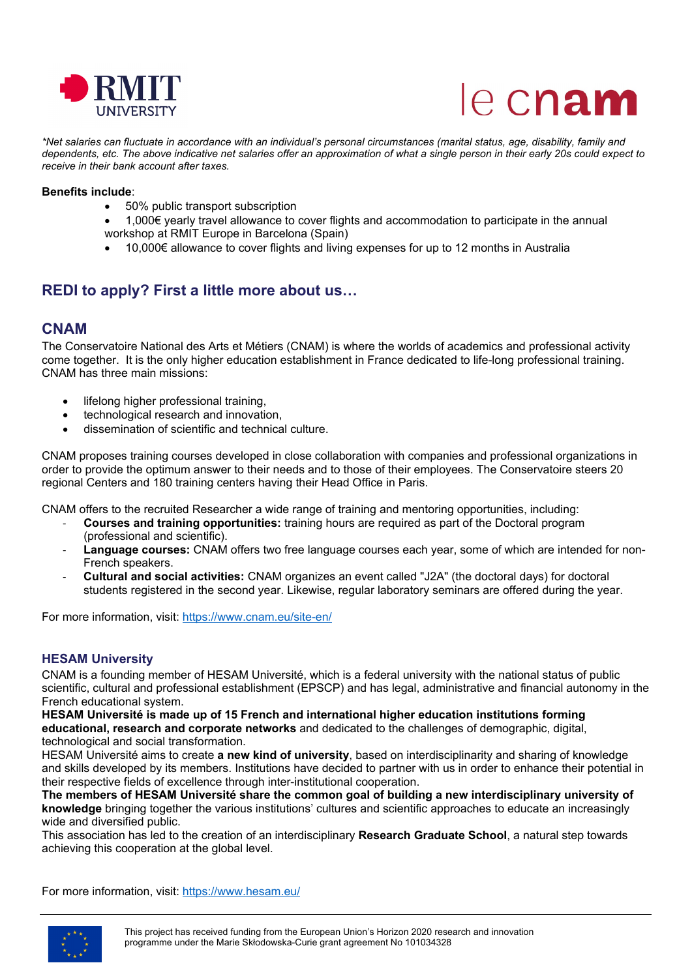



*\*Net salaries can fluctuate in accordance with an individual's personal circumstances (marital status, age, disability, family and dependents, etc. The above indicative net salaries offer an approximation of what a single person in their early 20s could expect to receive in their bank account after taxes.*

#### **Benefits include**:

- 50% public transport subscription
- 1,000€ yearly travel allowance to cover flights and accommodation to participate in the annual workshop at RMIT Europe in Barcelona (Spain)
- 10,000€ allowance to cover flights and living expenses for up to 12 months in Australia

## **REDI to apply? First a little more about us…**

#### **CNAM**

The Conservatoire National des Arts et Métiers (CNAM) is where the worlds of academics and professional activity come together. It is the only higher education establishment in France dedicated to life-long professional training. CNAM has three main missions:

- lifelong higher professional training,
- technological research and innovation,
- dissemination of scientific and technical culture.

CNAM proposes training courses developed in close collaboration with companies and professional organizations in order to provide the optimum answer to their needs and to those of their employees. The Conservatoire steers 20 regional Centers and 180 training centers having their Head Office in Paris.

CNAM offers to the recruited Researcher a wide range of training and mentoring opportunities, including:

- **Courses and training opportunities:** training hours are required as part of the Doctoral program (professional and scientific).
- Language courses: CNAM offers two free language courses each year, some of which are intended for non-French speakers.
- **Cultural and social activities:** CNAM organizes an event called "J2A" (the doctoral days) for doctoral students registered in the second year. Likewise, regular laboratory seminars are offered during the year.

For more information, visit: [https://www.cnam.eu/site](https://www.cnam.eu/site-en/)-en/

#### **HESAM University**

CNAM is a founding member of HESAM Université, which is a federal university with the national status of public scientific, cultural and professional establishment (EPSCP) and has legal, administrative and financial autonomy in the French educational system.

**HESAM Université is made up of 15 French and international higher education institutions forming educational, research and corporate networks** and dedicated to the challenges of demographic, digital, technological and social transformation.

HESAM Université aims to create **a new kind of university**, based on interdisciplinarity and sharing of knowledge and skills developed by its members. Institutions have decided to partner with us in order to enhance their potential in their respective fields of excellence through inter-institutional cooperation.

**The members of HESAM Université share the common goal of building a new interdisciplinary university of knowledge** bringing together the various institutions' cultures and scientific approaches to educate an increasingly wide and diversified public.

This association has led to the creation of an interdisciplinary **Research Graduate School**, a natural step towards achieving this cooperation at the global level.

For more information, visit: <https://www.hesam.eu/>

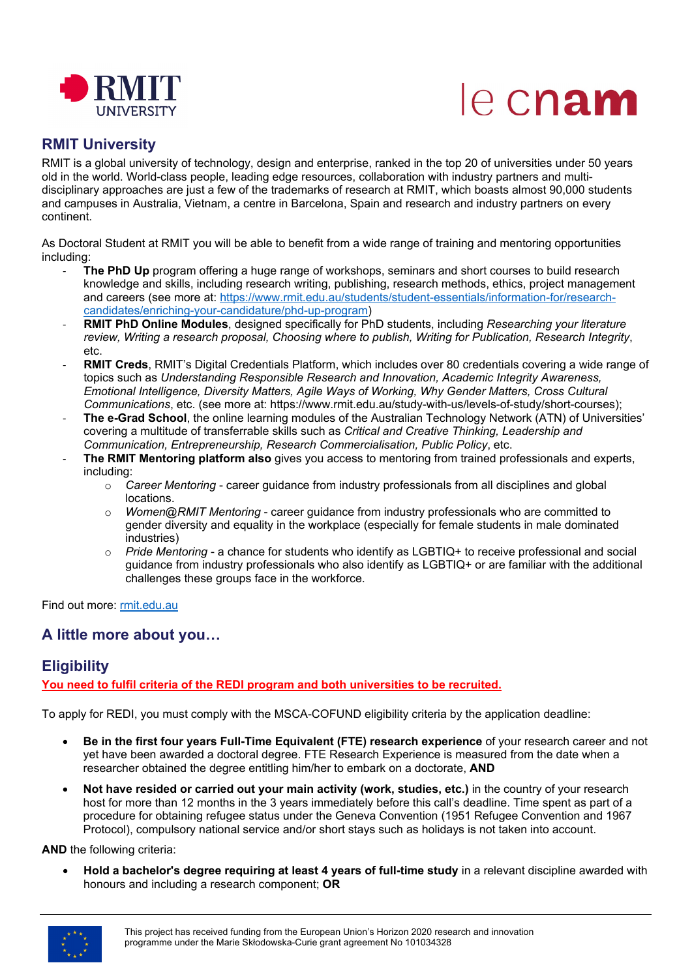

# le cnam

## **RMIT University**

RMIT is a global university of technology, design and enterprise, ranked in the top 20 of universities under 50 years old in the world. World-class people, leading edge resources, collaboration with industry partners and multidisciplinary approaches are just a few of the trademarks of research at RMIT, which boasts almost 90,000 students and campuses in Australia, Vietnam, a centre in Barcelona, Spain and research and industry partners on every continent.

As Doctoral Student at RMIT you will be able to benefit from a wide range of training and mentoring opportunities including:

- **The PhD Up** program offering a huge range of workshops, seminars and short courses to build research knowledge and skills, including research writing, publishing, research methods, ethics, project management and careers (see more at: [https://www.rmit.edu.au/students/student](https://www.rmit.edu.au/students/student-essentials/information-for/research-candidates/enriching-your-candidature/phd-up-program)-essentials/information-for/research[candidates/enriching-your-candidature/phd-up-program\)](https://www.rmit.edu.au/students/student-essentials/information-for/research-candidates/enriching-your-candidature/phd-up-program)
- **RMIT PhD Online Modules**, designed specifically for PhD students, including *Researching your literature review, Writing a research proposal, Choosing where to publish, Writing for Publication, Research Integrity*, etc.
- **RMIT Creds**, RMIT's Digital Credentials Platform, which includes over 80 credentials covering a wide range of topics such as *Understanding Responsible Research and Innovation, Academic Integrity Awareness, Emotional Intelligence, Diversity Matters, Agile Ways of Working, Why Gender Matters, Cross Cultural Communications*, etc. (see more at: https://www.rmit.edu.au/study-with-us/levels-of-study/short-courses);
- The e-Grad School, the online learning modules of the Australian Technology Network (ATN) of Universities' covering a multitude of transferrable skills such as *Critical and Creative Thinking, Leadership and Communication, Entrepreneurship, Research Commercialisation, Public Policy*, etc.
- **The RMIT Mentoring platform also** gives you access to mentoring from trained professionals and experts, including:
	- o *Career Mentoring* career guidance from industry professionals from all disciplines and global locations.
	- o *Women@RMIT Mentoring* career guidance from industry professionals who are committed to gender diversity and equality in the workplace (especially for female students in male dominated industries)
	- o *Pride Mentoring*  a chance for students who identify as LGBTIQ+ to receive professional and social guidance from industry professionals who also identify as LGBTIQ+ or are familiar with the additional challenges these groups face in the workforce.

Find out more: [rmit.edu.au](https://www.rmit.edu.au/)

# **A little more about you…**

# **Eligibility**

**You need to fulfil criteria of the REDI program and both universities to be recruited.**

To apply for REDI, you must comply with the MSCA-COFUND eligibility criteria by the application deadline:

- **Be in the first four years Full-Time Equivalent (FTE) research experience** of your research career and not yet have been awarded a doctoral degree. FTE Research Experience is measured from the date when a researcher obtained the degree entitling him/her to embark on a doctorate, **AND**
- **Not have resided or carried out your main activity (work, studies, etc.)** in the country of your research host for more than 12 months in the 3 years immediately before this call's deadline. Time spent as part of a procedure for obtaining refugee status under the Geneva Convention (1951 Refugee Convention and 1967 Protocol), compulsory national service and/or short stays such as holidays is not taken into account.

**AND** the following criteria:

• **Hold a bachelor's degree requiring at least 4 years of full-time study** in a relevant discipline awarded with honours and including a research component; **OR**